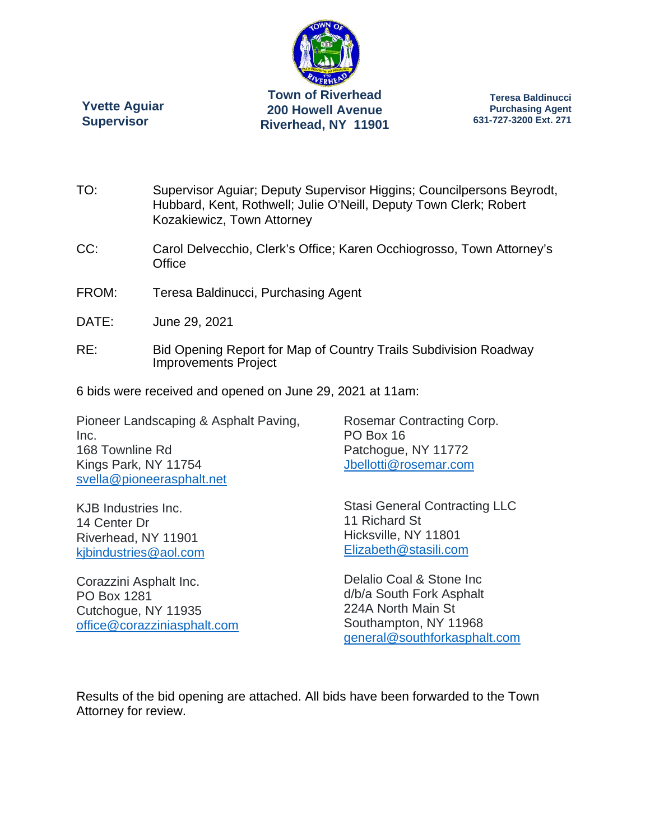

**Riverhead, NY 11901** 

**Yvette Aguiar Supervisor** 

**Teresa Baldinucci Purchasing Agent 631-727-3200 Ext. 271** 

- TO: Supervisor Aguiar; Deputy Supervisor Higgins; Councilpersons Beyrodt, Hubbard, Kent, Rothwell; Julie O'Neill, Deputy Town Clerk; Robert Kozakiewicz, Town Attorney
- CC: Carol Delvecchio, Clerk's Office; Karen Occhiogrosso, Town Attorney's **Office**
- FROM: Teresa Baldinucci, Purchasing Agent
- DATE: June 29, 2021
- RE: Bid Opening Report for Map of Country Trails Subdivision Roadway Improvements Project

6 bids were received and opened on June 29, 2021 at 11am:

Pioneer Landscaping & Asphalt Paving, Inc. 168 Townline Rd Kings Park, NY 11754 svella@pioneerasphalt.net

Rosemar Contracting Corp. PO Box 16 Patchogue, NY 11772 Jbellotti@rosemar.com

KJB Industries Inc. 14 Center Dr Riverhead, NY 11901 kjbindustries@aol.com

Corazzini Asphalt Inc. PO Box 1281 Cutchogue, NY 11935 office@corazziniasphalt.com Stasi General Contracting LLC 11 Richard St Hicksville, NY 11801 Elizabeth@stasili.com

Delalio Coal & Stone Inc d/b/a South Fork Asphalt 224A North Main St Southampton, NY 11968 general@southforkasphalt.com

Results of the bid opening are attached. All bids have been forwarded to the Town Attorney for review.